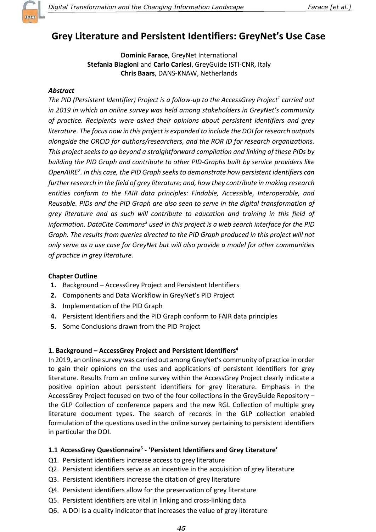

# Grey Literature and Persistent Identifiers: GreyNet's Use Case

Dominic Farace, GreyNet International Stefania Biagioni and Carlo Carlesi, GreyGuide ISTI-CNR, Italy Chris Baars, DANS-KNAW, Netherlands

### Abstract

The PID (Persistent Identifier) Project is a follow-up to the AccessGrey Project<sup>1</sup> carried out in 2019 in which an online survey was held among stakeholders in GreyNet's community of practice. Recipients were asked their opinions about persistent identifiers and grey literature. The focus now in this project is expanded to include the DOI for research outputs alongside the ORCiD for authors/researchers, and the ROR ID for research organizations. This project seeks to go beyond a straightforward compilation and linking of these PIDs by building the PID Graph and contribute to other PID-Graphs built by service providers like OpenAIRE<sup>2</sup>. In this case, the PID Graph seeks to demonstrate how persistent identifiers can further research in the field of grey literature; and, how they contribute in making research entities conform to the FAIR data principles: Findable, Accessible, Interoperable, and Reusable. PIDs and the PID Graph are also seen to serve in the digital transformation of grey literature and as such will contribute to education and training in this field of information. DataCite Commons $3$  used in this project is a web search interface for the PID Graph. The results from queries directed to the PID Graph produced in this project will not only serve as a use case for GreyNet but will also provide a model for other communities of practice in grey literature.

#### Chapter Outline

- 1. Background AccessGrey Project and Persistent Identifiers
- 2. Components and Data Workflow in GreyNet's PID Project
- 3. Implementation of the PID Graph
- 4. Persistent Identifiers and the PID Graph conform to FAIR data principles
- 5. Some Conclusions drawn from the PID Project

#### 1. Background – AccessGrey Project and Persistent Identifiers<sup>4</sup>

In 2019, an online survey was carried out among GreyNet's community of practice in order to gain their opinions on the uses and applications of persistent identifiers for grey literature. Results from an online survey within the AccessGrey Project clearly indicate a positive opinion about persistent identifiers for grey literature. Emphasis in the AccessGrey Project focused on two of the four collections in the GreyGuide Repository – the GLP Collection of conference papers and the new RGL Collection of multiple grey literature document types. The search of records in the GLP collection enabled formulation of the questions used in the online survey pertaining to persistent identifiers in particular the DOI.

#### 1.1 AccessGrey Questionnaire<sup>5</sup> - 'Persistent Identifiers and Grey Literature'

- Q1. Persistent identifiers increase access to grey literature
- Q2. Persistent identifiers serve as an incentive in the acquisition of grey literature
- Q3. Persistent identifiers increase the citation of grey literature
- Q4. Persistent identifiers allow for the preservation of grey literature
- Q5. Persistent identifiers are vital in linking and cross-linking data
- Q6. A DOI is a quality indicator that increases the value of grey literature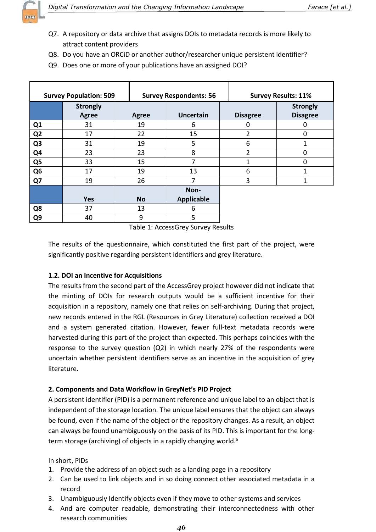

- Q7. A repository or data archive that assigns DOIs to metadata records is more likely to attract content providers
- Q8. Do you have an ORCiD or another author/researcher unique persistent identifier?
- Q9. Does one or more of your publications have an assigned DOI?

| <b>Survey Population: 509</b> |                                 |              | <b>Survey Respondents: 56</b> |                 | <b>Survey Results: 11%</b>         |  |
|-------------------------------|---------------------------------|--------------|-------------------------------|-----------------|------------------------------------|--|
|                               | <b>Strongly</b><br><b>Agree</b> | <b>Agree</b> | <b>Uncertain</b>              | <b>Disagree</b> | <b>Strongly</b><br><b>Disagree</b> |  |
| Q1                            | 31                              | 19           | 6                             | 0               | 0                                  |  |
| Q <sub>2</sub>                | 17                              | 22           | 15                            | $\overline{2}$  | 0                                  |  |
| Q <sub>3</sub>                | 31                              | 19           | 5                             | 6               | 1                                  |  |
| Q4                            | 23                              | 23           | 8                             | $\overline{2}$  | 0                                  |  |
| Q <sub>5</sub>                | 33                              | 15           | 7                             | 1               | 0                                  |  |
| Q <sub>6</sub>                | 17                              | 19           | 13                            | 6               | 1                                  |  |
| Q7                            | 19                              | 26           | 7                             | 3               | 1                                  |  |
|                               |                                 |              | Non-                          |                 |                                    |  |
|                               | <b>Yes</b>                      | <b>No</b>    | <b>Applicable</b>             |                 |                                    |  |
| Q8                            | 37                              | 13           | 6                             |                 |                                    |  |
| Q <sub>9</sub>                | 40                              | 9            | 5                             |                 |                                    |  |

Table 1: AccessGrey Survey Results

The results of the questionnaire, which constituted the first part of the project, were significantly positive regarding persistent identifiers and grey literature.

# 1.2. DOI an Incentive for Acquisitions

The results from the second part of the AccessGrey project however did not indicate that the minting of DOIs for research outputs would be a sufficient incentive for their acquisition in a repository, namely one that relies on self-archiving. During that project, new records entered in the RGL (Resources in Grey Literature) collection received a DOI and a system generated citation. However, fewer full-text metadata records were harvested during this part of the project than expected. This perhaps coincides with the response to the survey question (Q2) in which nearly 27% of the respondents were uncertain whether persistent identifiers serve as an incentive in the acquisition of grey literature.

# 2. Components and Data Workflow in GreyNet's PID Project

A persistent identifier (PID) is a permanent reference and unique label to an object that is independent of the storage location. The unique label ensures that the object can always be found, even if the name of the object or the repository changes. As a result, an object can always be found unambiguously on the basis of its PID. This is important for the longterm storage (archiving) of objects in a rapidly changing world.<sup>6</sup>

In short, PIDs

- 1. Provide the address of an object such as a landing page in a repository
- 2. Can be used to link objects and in so doing connect other associated metadata in a record
- 3. Unambiguously Identify objects even if they move to other systems and services
- 4. And are computer readable, demonstrating their interconnectedness with other research communities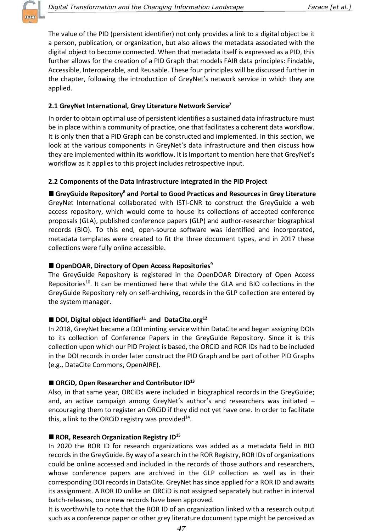

The value of the PID (persistent identifier) not only provides a link to a digital object be it a person, publication, or organization, but also allows the metadata associated with the digital object to become connected. When that metadata itself is expressed as a PID, this further allows for the creation of a PID Graph that models FAIR data principles: Findable, Accessible, Interoperable, and Reusable. These four principles will be discussed further in the chapter, following the introduction of GreyNet's network service in which they are applied.

#### 2.1 GreyNet International, Grey Literature Network Service<sup>7</sup>

In order to obtain optimal use of persistent identifies a sustained data infrastructure must be in place within a community of practice, one that facilitates a coherent data workflow. It is only then that a PID Graph can be constructed and implemented. In this section, we look at the various components in GreyNet's data infrastructure and then discuss how they are implemented within its workflow. It is Important to mention here that GreyNet's workflow as it applies to this project includes retrospective input.

### 2.2 Components of the Data Infrastructure integrated in the PID Project

GreyGuide Repository<sup>8</sup> and Portal to Good Practices and Resources in Grey Literature GreyNet International collaborated with ISTI-CNR to construct the GreyGuide a web access repository, which would come to house its collections of accepted conference proposals (GLA), published conference papers (GLP) and author-researcher biographical records (BIO). To this end, open-source software was identified and incorporated, metadata templates were created to fit the three document types, and in 2017 these collections were fully online accessible.

#### ■ OpenDOAR, Directory of Open Access Repositories<sup>9</sup>

The GreyGuide Repository is registered in the OpenDOAR Directory of Open Access Repositories<sup>10</sup>. It can be mentioned here that while the GLA and BIO collections in the GreyGuide Repository rely on self-archiving, records in the GLP collection are entered by the system manager.

#### $\blacksquare$  DOI, Digital object identifier<sup>11</sup> and DataCite.org<sup>12</sup>

In 2018, GreyNet became a DOI minting service within DataCite and began assigning DOIs to its collection of Conference Papers in the GreyGuide Repository. Since it is this collection upon which our PID Project is based, the ORCiD and ROR IDs had to be included in the DOI records in order later construct the PID Graph and be part of other PID Graphs (e.g., DataCite Commons, OpenAIRE).

# $\blacksquare$  ORCiD, Open Researcher and Contributor ID<sup>13</sup>

Also, in that same year, ORCiDs were included in biographical records in the GreyGuide; and, an active campaign among GreyNet's author's and researchers was initiated – encouraging them to register an ORCiD if they did not yet have one. In order to facilitate this, a link to the ORCiD registry was provided $^{14}$ .

#### ROR, Research Organization Registry  $ID^{15}$

In 2020 the ROR ID for research organizations was added as a metadata field in BIO records in the GreyGuide. By way of a search in the ROR Registry, ROR IDs of organizations could be online accessed and included in the records of those authors and researchers, whose conference papers are archived in the GLP collection as well as in their corresponding DOI records in DataCite. GreyNet has since applied for a ROR ID and awaits its assignment. A ROR ID unlike an ORCiD is not assigned separately but rather in interval batch-releases, once new records have been approved.

It is worthwhile to note that the ROR ID of an organization linked with a research output such as a conference paper or other grey literature document type might be perceived as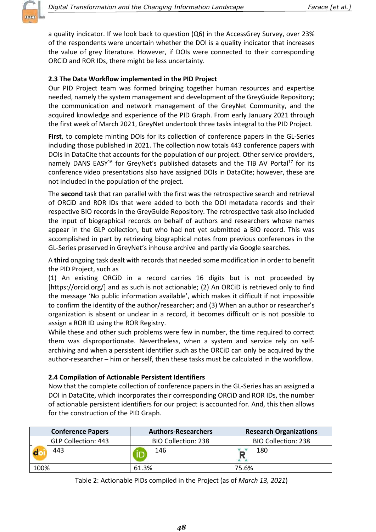

a quality indicator. If we look back to question (Q6) in the AccessGrey Survey, over 23% of the respondents were uncertain whether the DOI is a quality indicator that increases the value of grey literature. However, if DOIs were connected to their corresponding ORCiD and ROR IDs, there might be less uncertainty.

### 2.3 The Data Workflow implemented in the PID Project

Our PID Project team was formed bringing together human resources and expertise needed, namely the system management and development of the GreyGuide Repository; the communication and network management of the GreyNet Community, and the acquired knowledge and experience of the PID Graph. From early January 2021 through the first week of March 2021, GreyNet undertook three tasks integral to the PID Project.

First, to complete minting DOIs for its collection of conference papers in the GL-Series including those published in 2021. The collection now totals 443 conference papers with DOIs in DataCite that accounts for the population of our project. Other service providers, namely DANS EASY<sup>16</sup> for GreyNet's published datasets and the TIB AV Portal<sup>17</sup> for its conference video presentations also have assigned DOIs in DataCite; however, these are not included in the population of the project.

The second task that ran parallel with the first was the retrospective search and retrieval of ORCiD and ROR IDs that were added to both the DOI metadata records and their respective BIO records in the GreyGuide Repository. The retrospective task also included the input of biographical records on behalf of authors and researchers whose names appear in the GLP collection, but who had not yet submitted a BIO record. This was accomplished in part by retrieving biographical notes from previous conferences in the GL-Series preserved in GreyNet's inhouse archive and partly via Google searches.

A third ongoing task dealt with records that needed some modification in order to benefit the PID Project, such as

(1) An existing ORCiD in a record carries 16 digits but is not proceeded by [https://orcid.org/] and as such is not actionable; (2) An ORCiD is retrieved only to find the message 'No public information available', which makes it difficult if not impossible to confirm the identity of the author/researcher; and (3) When an author or researcher's organization is absent or unclear in a record, it becomes difficult or is not possible to assign a ROR ID using the ROR Registry.

While these and other such problems were few in number, the time required to correct them was disproportionate. Nevertheless, when a system and service rely on selfarchiving and when a persistent identifier such as the ORCiD can only be acquired by the author-researcher – him or herself, then these tasks must be calculated in the workflow.

#### 2.4 Compilation of Actionable Persistent Identifiers

Now that the complete collection of conference papers in the GL-Series has an assigned a DOI in DataCite, which incorporates their corresponding ORCiD and ROR IDs, the number of actionable persistent identifiers for our project is accounted for. And, this then allows for the construction of the PID Graph.

| <b>Conference Papers</b>   | <b>Authors-Researchers</b> | <b>Research Organizations</b> |
|----------------------------|----------------------------|-------------------------------|
| <b>GLP Collection: 443</b> | <b>BIO Collection: 238</b> | <b>BIO Collection: 238</b>    |
| 443                        | 146                        | 180                           |
| 100%                       | 61.3%                      | 75.6%                         |

Table 2: Actionable PIDs compiled in the Project (as of March 13, 2021)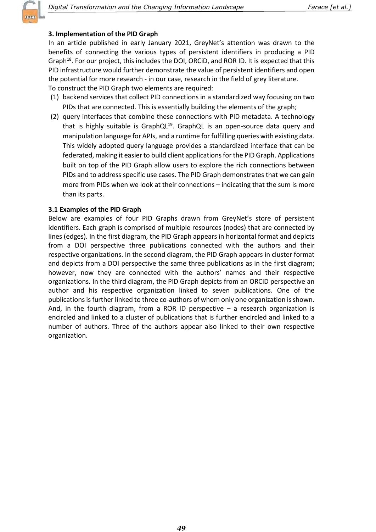# 3. Implementation of the PID Graph

In an article published in early January 2021, GreyNet's attention was drawn to the benefits of connecting the various types of persistent identifiers in producing a PID Graph<sup>18</sup>. For our project, this includes the DOI, ORCiD, and ROR ID. It is expected that this PID infrastructure would further demonstrate the value of persistent identifiers and open the potential for more research - in our case, research in the field of grey literature. To construct the PID Graph two elements are required:

- (1) backend services that collect PID connections in a standardized way focusing on two PIDs that are connected. This is essentially building the elements of the graph;
- (2) query interfaces that combine these connections with PID metadata. A technology that is highly suitable is GraphQL<sup>19</sup>. GraphQL is an open-source data query and manipulation language for APIs, and a runtime for fulfilling queries with existing data. This widely adopted query language provides a standardized interface that can be federated, making it easier to build client applications for the PID Graph. Applications built on top of the PID Graph allow users to explore the rich connections between PIDs and to address specific use cases. The PID Graph demonstrates that we can gain more from PIDs when we look at their connections – indicating that the sum is more than its parts.

# 3.1 Examples of the PID Graph

Below are examples of four PID Graphs drawn from GreyNet's store of persistent identifiers. Each graph is comprised of multiple resources (nodes) that are connected by lines (edges). In the first diagram, the PID Graph appears in horizontal format and depicts from a DOI perspective three publications connected with the authors and their respective organizations. In the second diagram, the PID Graph appears in cluster format and depicts from a DOI perspective the same three publications as in the first diagram; however, now they are connected with the authors' names and their respective organizations. In the third diagram, the PID Graph depicts from an ORCiD perspective an author and his respective organization linked to seven publications. One of the publications is further linked to three co-authors of whom only one organization is shown. And, in the fourth diagram, from a ROR ID perspective  $-$  a research organization is encircled and linked to a cluster of publications that is further encircled and linked to a number of authors. Three of the authors appear also linked to their own respective organization.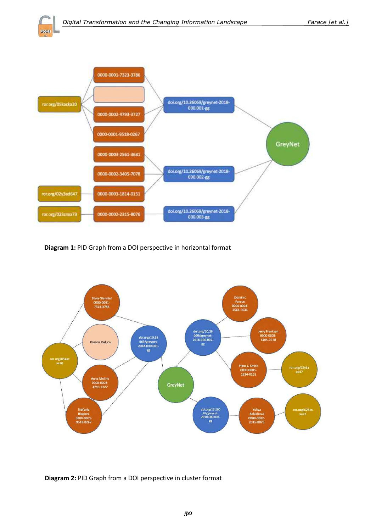$502$ 



Diagram 1: PID Graph from a DOI perspective in horizontal format



#### Diagram 2: PID Graph from a DOI perspective in cluster format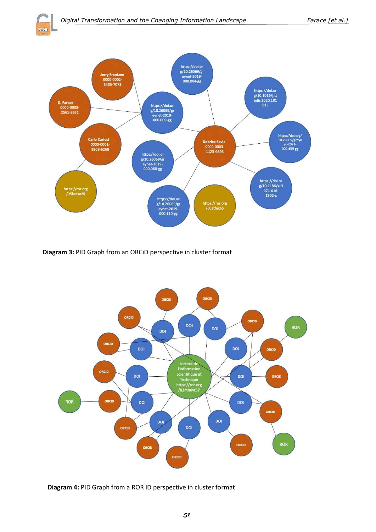2021



Diagram 3: PID Graph from an ORCiD perspective in cluster format



Diagram 4: PID Graph from a ROR ID perspective in cluster format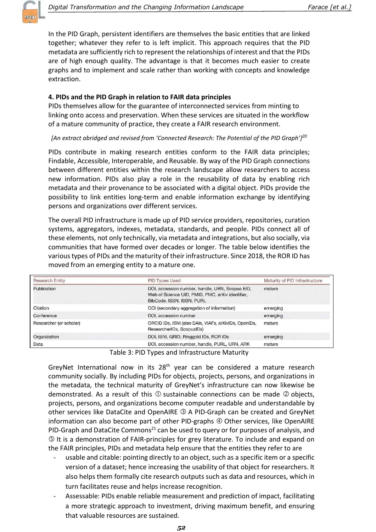

In the PID Graph, persistent identifiers are themselves the basic entities that are linked together; whatever they refer to is left implicit. This approach requires that the PID metadata are sufficiently rich to represent the relationships of interest and that the PIDs are of high enough quality. The advantage is that it becomes much easier to create graphs and to implement and scale rather than working with concepts and knowledge extraction.

#### 4. PIDs and the PID Graph in relation to FAIR data principles

PIDs themselves allow for the guarantee of interconnected services from minting to linking onto access and preservation. When these services are situated in the workflow of a mature community of practice, they create a FAIR research environment.

#### [An extract abridged and revised from 'Connected Research: The Potential of the PID Graph']<sup>20</sup>

PIDs contribute in making research entities conform to the FAIR data principles; Findable, Accessible, Interoperable, and Reusable. By way of the PID Graph connections between different entities within the research landscape allow researchers to access new information. PIDs also play a role in the reusability of data by enabling rich metadata and their provenance to be associated with a digital object. PIDs provide the possibility to link entities long-term and enable information exchange by identifying persons and organizations over different services.

The overall PID infrastructure is made up of PID service providers, repositories, curation systems, aggregators, indexes, metadata, standards, and people. PIDs connect all of these elements, not only technically, via metadata and integrations, but also socially, via communities that have formed over decades or longer. The table below identifies the various types of PIDs and the maturity of their infrastructure. Since 2018, the ROR ID has moved from an emerging entity to a mature one.

| <b>Research Entity</b>  | PID Types Used                                                                                                                   | Maturity of PID Infrastructure |  |
|-------------------------|----------------------------------------------------------------------------------------------------------------------------------|--------------------------------|--|
| Publication             | DOI, accession number, handle, URN, Scopus EID,<br>Web of Science UID, PMID, PMC, arXiv identifier,<br>BibCode, ISSN, ISBN, PURL | mature                         |  |
| Citation                | OCI (secondary aggregation of information)                                                                                       | emerging                       |  |
| Conference              | DOI, accession number                                                                                                            | emerging                       |  |
| Researcher (or scholar) | ORCID IDs, ISNI (also DAIs, VIAFs, arXivIDs, OpenIDs,<br>ResearcherIDs, ScopusIDs)                                               | mature                         |  |
| Organization            | DOI, ISNI, GRID, Ringgold IDs, ROR IDs                                                                                           | emerging                       |  |
| Data                    | DOI, accession number, handle, PURL, URN, ARK                                                                                    | mature                         |  |

Table 3: PID Types and Infrastructure Maturity

GreyNet International now in its  $28<sup>th</sup>$  year can be considered a mature research community socially. By including PIDs for objects, projects, persons, and organizations in the metadata, the technical maturity of GreyNet's infrastructure can now likewise be demonstrated. As a result of this  $\mathbb D$  sustainable connections can be made  $\mathbb Q$  objects, projects, persons, and organizations become computer readable and understandable by other services like DataCite and OpenAIRE 3 A PID-Graph can be created and GreyNet information can also become part of other PID-graphs 4 Other services, like OpenAIRE PID-Graph and DataCite Commons<sup>21</sup> can be used to query or for purposes of analysis, and ' It is a demonstration of FAIR-principles for grey literature. To include and expand on the FAIR principles, PIDs and metadata help ensure that the entities they refer to are

- usable and citable: pointing directly to an object, such as a specific item or a specific version of a dataset; hence increasing the usability of that object for researchers. It also helps them formally cite research outputs such as data and resources, which in turn facilitates reuse and helps increase recognition.
- Assessable: PIDs enable reliable measurement and prediction of impact, facilitating a more strategic approach to investment, driving maximum benefit, and ensuring that valuable resources are sustained.